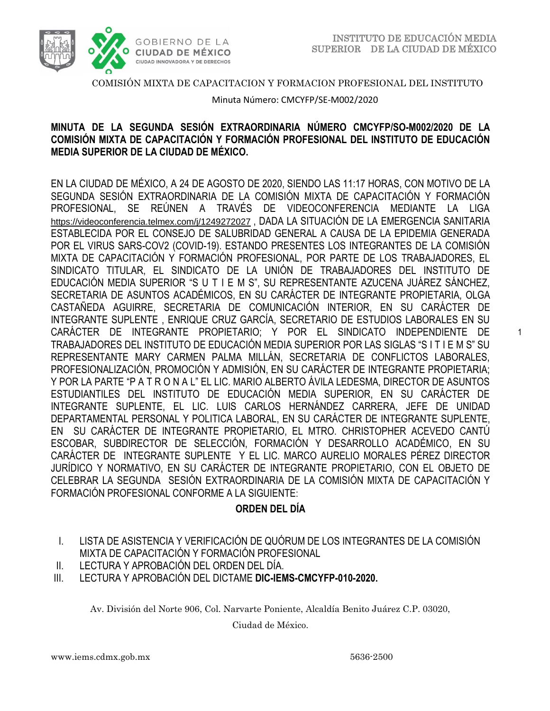

1



#### COMISIÓN MIXTA DE CAPACITACION Y FORMACION PROFESIONAL DEL INSTITUTO

Minuta Número: CMCYFP/SE-M002/2020

## **MINUTA DE LA SEGUNDA SESIÓN EXTRAORDINARIA NÚMERO CMCYFP/SO-M002/2020 DE LA COMISIÓN MIXTA DE CAPACITACIÓN Y FORMACIÓN PROFESIONAL DEL INSTITUTO DE EDUCACIÓN MEDIA SUPERIOR DE LA CIUDAD DE MÉXICO.**

EN LA CIUDAD DE MÉXICO, A 24 DE AGOSTO DE 2020, SIENDO LAS 11:17 HORAS, CON MOTIVO DE LA SEGUNDA SESIÓN EXTRAORDINARIA DE LA COMISIÓN MIXTA DE CAPACITACIÓN Y FORMACIÓN PROFESIONAL, SE REÚNEN A TRAVÉS DE VIDEOCONFERENCIA MEDIANTE LA LIGA <https://videoconferencia.telmex.com/j/1249272027> , DADA LA SITUACIÓN DE LA EMERGENCIA SANITARIA ESTABLECIDA POR EL CONSEJO DE SALUBRIDAD GENERAL A CAUSA DE LA EPIDEMIA GENERADA POR EL VIRUS SARS-COV2 (COVID-19). ESTANDO PRESENTES LOS INTEGRANTES DE LA COMISIÓN MIXTA DE CAPACITACIÓN Y FORMACIÓN PROFESIONAL, POR PARTE DE LOS TRABAJADORES, EL SINDICATO TITULAR, EL SINDICATO DE LA UNIÓN DE TRABAJADORES DEL INSTITUTO DE EDUCACIÓN MEDIA SUPERIOR "S U T I E M S", SU REPRESENTANTE AZUCENA JUÁREZ SÁNCHEZ, SECRETARIA DE ASUNTOS ACADÉMICOS, EN SU CARÁCTER DE INTEGRANTE PROPIETARIA, OLGA CASTAÑEDA AGUIRRE, SECRETARIA DE COMUNICACIÓN INTERIOR, EN SU CARÁCTER DE INTEGRANTE SUPLENTE , ENRIQUE CRUZ GARCÍA, SECRETARIO DE ESTUDIOS LABORALES EN SU CARÁCTER DE INTEGRANTE PROPIETARIO; Y POR EL SINDICATO INDEPENDIENTE DE TRABAJADORES DEL INSTITUTO DE EDUCACIÓN MEDIA SUPERIOR POR LAS SIGLAS "S I T I E M S" SU REPRESENTANTE MARY CARMEN PALMA MILLÁN, SECRETARIA DE CONFLICTOS LABORALES, PROFESIONALIZACIÓN, PROMOCIÓN Y ADMISIÓN, EN SU CARÁCTER DE INTEGRANTE PROPIETARIA; Y POR LA PARTE "P A T R O N A L" EL LIC. MARIO ALBERTO ÁVILA LEDESMA, DIRECTOR DE ASUNTOS ESTUDIANTILES DEL INSTITUTO DE EDUCACIÓN MEDIA SUPERIOR, EN SU CARÁCTER DE INTEGRANTE SUPLENTE, EL LIC. LUIS CARLOS HERNÁNDEZ CARRERA, JEFE DE UNIDAD DEPARTAMENTAL PERSONAL Y POLITICA LABORAL, EN SU CARÁCTER DE INTEGRANTE SUPLENTE, EN SU CARÁCTER DE INTEGRANTE PROPIETARIO, EL MTRO. CHRISTOPHER ACEVEDO CANTÚ ESCOBAR, SUBDIRECTOR DE SELECCIÓN, FORMACIÓN Y DESARROLLO ACADÉMICO, EN SU CARÁCTER DE INTEGRANTE SUPLENTE Y EL LIC. MARCO AURELIO MORALES PÉREZ DIRECTOR JURÍDICO Y NORMATIVO, EN SU CARÁCTER DE INTEGRANTE PROPIETARIO, CON EL OBJETO DE CELEBRAR LA SEGUNDA SESIÓN EXTRAORDINARIA DE LA COMISIÓN MIXTA DE CAPACITACIÓN Y FORMACIÓN PROFESIONAL CONFORME A LA SIGUIENTE:

## **ORDEN DEL DÍA**

- I. LISTA DE ASISTENCIA Y VERIFICACIÓN DE QUÓRUM DE LOS INTEGRANTES DE LA COMISIÓN MIXTA DE CAPACITACIÓN Y FORMACIÓN PROFESIONAL
- II. LECTURA Y APROBACIÓN DEL ORDEN DEL DÍA.
- III. LECTURA Y APROBACIÓN DEL DICTAME **DIC-IEMS-CMCYFP-010-2020.**

Av. División del Norte 906, Col. Narvarte Poniente, Alcaldía Benito Juárez C.P. 03020,

Ciudad de México.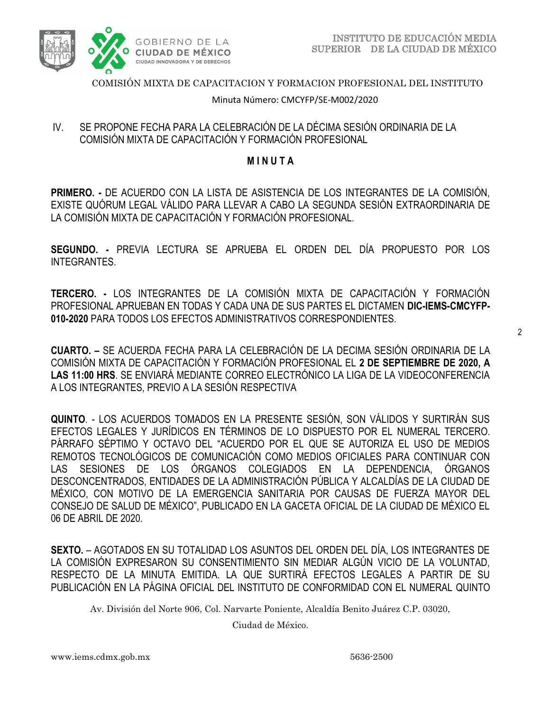

COMISIÓN MIXTA DE CAPACITACION Y FORMACION PROFESIONAL DEL INSTITUTO

Minuta Número: CMCYFP/SE-M002/2020

## IV. SE PROPONE FECHA PARA LA CELEBRACIÓN DE LA DÉCIMA SESIÓN ORDINARIA DE LA COMISIÓN MIXTA DE CAPACITACIÓN Y FORMACIÓN PROFESIONAL

### **M I N U T A**

**PRIMERO. -** DE ACUERDO CON LA LISTA DE ASISTENCIA DE LOS INTEGRANTES DE LA COMISIÓN, EXISTE QUÓRUM LEGAL VÁLIDO PARA LLEVAR A CABO LA SEGUNDA SESIÓN EXTRAORDINARIA DE LA COMISIÓN MIXTA DE CAPACITACIÓN Y FORMACIÓN PROFESIONAL.

**SEGUNDO. -** PREVIA LECTURA SE APRUEBA EL ORDEN DEL DÍA PROPUESTO POR LOS INTEGRANTES.

**TERCERO. -** LOS INTEGRANTES DE LA COMISIÓN MIXTA DE CAPACITACIÓN Y FORMACIÓN PROFESIONAL APRUEBAN EN TODAS Y CADA UNA DE SUS PARTES EL DICTAMEN **DIC-IEMS-CMCYFP-010-2020** PARA TODOS LOS EFECTOS ADMINISTRATIVOS CORRESPONDIENTES.

**CUARTO. –** SE ACUERDA FECHA PARA LA CELEBRACIÓN DE LA DECIMA SESIÓN ORDINARIA DE LA COMISIÓN MIXTA DE CAPACITACIÓN Y FORMACIÓN PROFESIONAL EL **2 DE SEPTIEMBRE DE 2020, A LAS 11:00 HRS**. SE ENVIARÁ MEDIANTE CORREO ELECTRÓNICO LA LIGA DE LA VIDEOCONFERENCIA A LOS INTEGRANTES, PREVIO A LA SESIÓN RESPECTIVA

**QUINTO**. - LOS ACUERDOS TOMADOS EN LA PRESENTE SESIÓN, SON VÁLIDOS Y SURTIRÁN SUS EFECTOS LEGALES Y JURÍDICOS EN TÉRMINOS DE LO DISPUESTO POR EL NUMERAL TERCERO. PÁRRAFO SÉPTIMO Y OCTAVO DEL "ACUERDO POR EL QUE SE AUTORIZA EL USO DE MEDIOS REMOTOS TECNOLÓGICOS DE COMUNICACIÓN COMO MEDIOS OFICIALES PARA CONTINUAR CON LAS SESIONES DE LOS ÓRGANOS COLEGIADOS EN LA DEPENDENCIA, ÓRGANOS DESCONCENTRADOS, ENTIDADES DE LA ADMINISTRACIÓN PÚBLICA Y ALCALDÍAS DE LA CIUDAD DE MÉXICO, CON MOTIVO DE LA EMERGENCIA SANITARIA POR CAUSAS DE FUERZA MAYOR DEL CONSEJO DE SALUD DE MÉXICO", PUBLICADO EN LA GACETA OFICIAL DE LA CIUDAD DE MÉXICO EL 06 DE ABRIL DE 2020.

**SEXTO.** – AGOTADOS EN SU TOTALIDAD LOS ASUNTOS DEL ORDEN DEL DÍA, LOS INTEGRANTES DE LA COMISIÓN EXPRESARON SU CONSENTIMIENTO SIN MEDIAR ALGÚN VICIO DE LA VOLUNTAD, RESPECTO DE LA MINUTA EMITIDA. LA QUE SURTIRÁ EFECTOS LEGALES A PARTIR DE SU PUBLICACIÓN EN LA PÁGINA OFICIAL DEL INSTITUTO DE CONFORMIDAD CON EL NUMERAL QUINTO

Av. División del Norte 906, Col. Narvarte Poniente, Alcaldía Benito Juárez C.P. 03020,

Ciudad de México.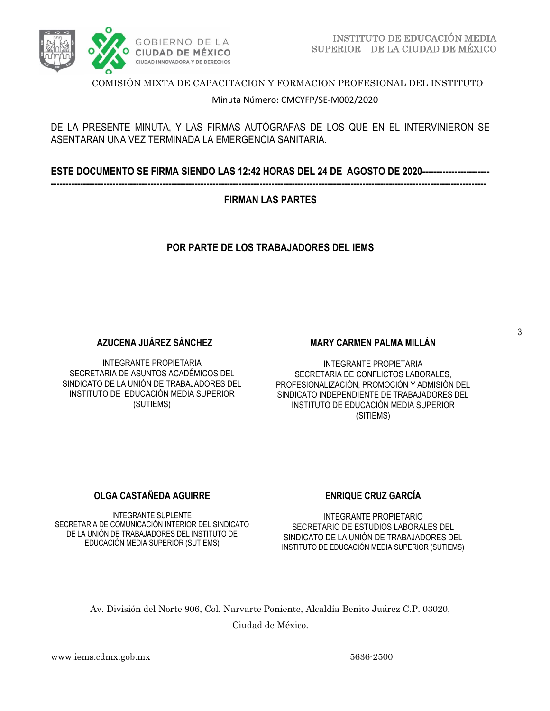

COMISIÓN MIXTA DE CAPACITACION Y FORMACION PROFESIONAL DEL INSTITUTO

Minuta Número: CMCYFP/SE-M002/2020

## DE LA PRESENTE MINUTA, Y LAS FIRMAS AUTÓGRAFAS DE LOS QUE EN EL INTERVINIERON SE ASENTARAN UNA VEZ TERMINADA LA EMERGENCIA SANITARIA.

**ESTE DOCUMENTO SE FIRMA SIENDO LAS 12:42 HORAS DEL 24 DE AGOSTO DE 2020-----------------------**

## **----------------------------------------------------------------------------------------------------------------------------------------------------**

## **FIRMAN LAS PARTES**

# **POR PARTE DE LOS TRABAJADORES DEL IEMS**

## **AZUCENA JUÁREZ SÁNCHEZ**

INTEGRANTE PROPIETARIA SECRETARIA DE ASUNTOS ACADÉMICOS DEL SINDICATO DE LA UNIÓN DE TRABAJADORES DEL INSTITUTO DE EDUCACIÓN MEDIA SUPERIOR (SUTIEMS)

#### **MARY CARMEN PALMA MILLÁN**

INTEGRANTE PROPIETARIA SECRETARIA DE CONFLICTOS LABORALES, PROFESIONALIZACIÓN, PROMOCIÓN Y ADMISIÓN DEL SINDICATO INDEPENDIENTE DE TRABAJADORES DEL INSTITUTO DE EDUCACIÓN MEDIA SUPERIOR (SITIEMS)

#### **OLGA CASTAÑEDA AGUIRRE**

INTEGRANTE SUPLENTE SECRETARIA DE COMUNICACIÓN INTERIOR DEL SINDICATO DE LA UNIÓN DE TRABAJADORES DEL INSTITUTO DE EDUCACIÓN MEDIA SUPERIOR (SUTIEMS)

## **ENRIQUE CRUZ GARCÍA**

INTEGRANTE PROPIETARIO SECRETARIO DE ESTUDIOS LABORALES DEL SINDICATO DE LA UNIÓN DE TRABAJADORES DEL INSTITUTO DE EDUCACIÓN MEDIA SUPERIOR (SUTIEMS)

Av. División del Norte 906, Col. Narvarte Poniente, Alcaldía Benito Juárez C.P. 03020, Ciudad de México.